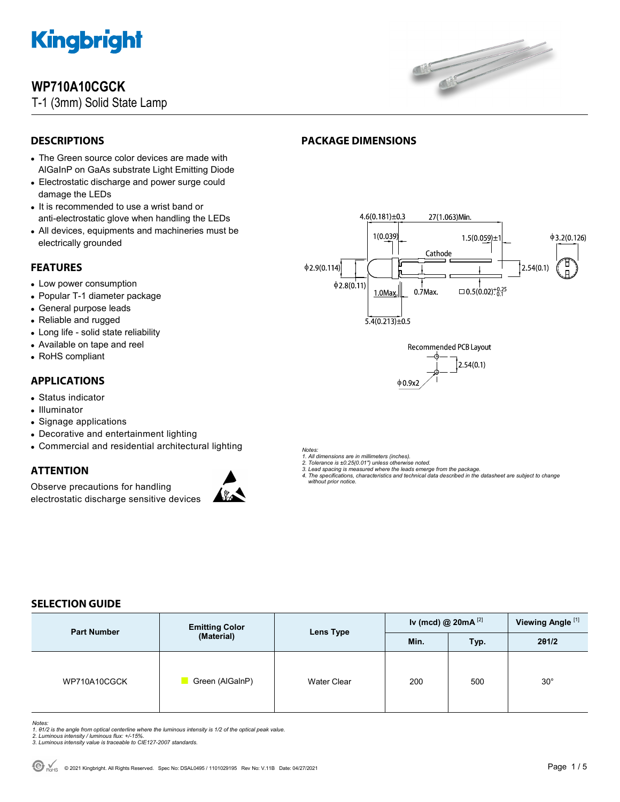

# **WP710A10CGCK**

T-1 (3mm) Solid State Lamp



 $1.5(0.059) \pm$ 

 $\Box$  0.5(0.02)<sup>+0.25</sup>

 $\phi$ 3.2(0.126)

 $2.54(0.1)$ 

27(1.063)Min.

Recommended PCB Layout

 $2.54(0.1)$ 

Cathode

 $0.7$ Max.

# **DESCRIPTIONS**

- The Green source color devices are made with AlGaInP on GaAs substrate Light Emitting Diode
- Electrostatic discharge and power surge could damage the LEDs
- It is recommended to use a wrist band or anti-electrostatic glove when handling the LEDs
- All devices, equipments and machineries must be electrically grounded

# **FEATURES**

- Low power consumption
- Popular T-1 diameter package
- General purpose leads
- Reliable and rugged
- Long life solid state reliability
- Available on tape and reel
- RoHS compliant

# **APPLICATIONS**

- Status indicator
- Illuminator
- Signage applications
- Decorative and entertainment lighting
- Commercial and residential architectural lighting

# **ATTENTION**

Observe precautions for handling electrostatic discharge sensitive devices



*Notes:* 

 $\phi$ 2.9(0.114)

 $\phi$ 2.8(0.11)

*1. All dimensions are in millimeters (inches). 2. Tolerance is ±0.25(0.01") unless otherwise noted.* 

**PACKAGE DIMENSIONS** 

 $4.6(0.181) \pm 0.3$ 

1(0.039

1.0Max

 $5.4(0.213) \pm 0.5$ 

 $\phi$ 0.9x2

- *3. Lead spacing is measured where the leads emerge from the package.*
- *4. The specifications, characteristics and technical data described in the datasheet are subject to change without prior notice.*

# **SELECTION GUIDE**

| <b>Part Number</b> | <b>Emitting Color</b> | <b>Lens Type</b>   | Iv (mcd) @ $20mA$ <sup>[2]</sup> |      | Viewing Angle <sup>[1]</sup> |
|--------------------|-----------------------|--------------------|----------------------------------|------|------------------------------|
|                    | (Material)            |                    | Min.                             | Typ. | 201/2                        |
| WP710A10CGCK       | Green (AlGalnP)       | <b>Water Clear</b> | 200                              | 500  | $30^\circ$                   |

- Notes:<br>1. 81/2 is the angle from optical centerline where the luminous intensity is 1/2 of the optical peak value.<br>2. Luminous intensity / luminous flux: +/-15%.<br>3. Luminous intensity value is traceable to CIE127-2007 stan
- 
-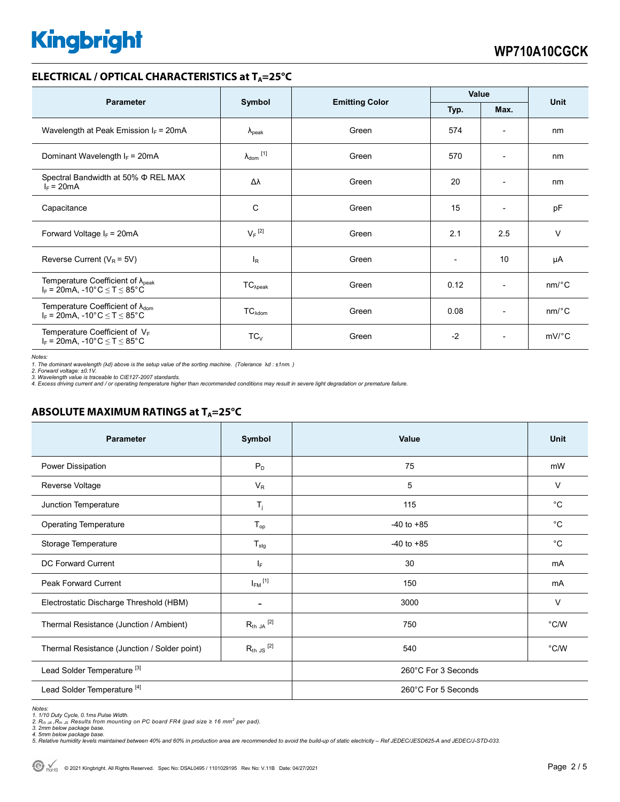# **ELECTRICAL / OPTICAL CHARACTERISTICS at T<sub>A</sub>=25°C**

| <b>Parameter</b>                                                                                                                | Symbol                       |                       | Value                    |                          | <b>Unit</b>           |
|---------------------------------------------------------------------------------------------------------------------------------|------------------------------|-----------------------|--------------------------|--------------------------|-----------------------|
|                                                                                                                                 |                              | <b>Emitting Color</b> | Typ.                     | Max.                     |                       |
| Wavelength at Peak Emission $I_F$ = 20mA                                                                                        | $\lambda_{\rm peak}$         | Green                 | 574                      | $\overline{\phantom{a}}$ | nm                    |
| Dominant Wavelength $I_F = 20mA$                                                                                                | $\lambda_{\mathsf{dom}}$ [1] | Green                 | 570                      | $\overline{\phantom{0}}$ | nm                    |
| Spectral Bandwidth at 50% $\Phi$ REL MAX<br>$I_F = 20mA$                                                                        | Δλ                           | Green                 | 20                       | $\overline{\phantom{a}}$ | nm                    |
| Capacitance                                                                                                                     | С                            | Green                 | 15                       | $\overline{\phantom{0}}$ | pF                    |
| Forward Voltage $I_F = 20mA$                                                                                                    | $V_F$ <sup>[2]</sup>         | Green                 | 2.1                      | 2.5                      | $\vee$                |
| Reverse Current ( $V_R$ = 5V)                                                                                                   | <b>l</b> <sub>R</sub>        | Green                 | $\overline{\phantom{a}}$ | 10                       | μA                    |
| Temperature Coefficient of $\lambda_{\text{peak}}$<br>$I_F = 20$ mA, -10°C $\le T \le 85$ °C                                    | $TC_{\lambda peak}$          | Green                 | 0.12                     | $\overline{\phantom{a}}$ | $nm$ <sup>o</sup> $C$ |
| Temperature Coefficient of $\lambda_{\text{dom}}$<br>$I_F = 20 \text{mA}, -10^{\circ} \text{C} \leq T \leq 85^{\circ} \text{C}$ | TC <sub>Adam</sub>           | Green                 | 0.08                     | $\overline{\phantom{a}}$ | $nm$ <sup>o</sup> $C$ |
| Temperature Coefficient of VF<br>$I_F = 20 \text{mA}, -10^{\circ} \text{C} \leq T \leq 85^{\circ} \text{C}$                     | $TC_V$                       | Green                 | $-2$                     | $\overline{\phantom{a}}$ | $mV$ °C               |

*Notes:* 

1. The dominant wavelength (λd) above is the setup value of the sorting machine. (Tolerance λd : ±1nm. )<br>2. Forward voltage: ±0.1V.<br>3. Wavelength value is traceable to CIE127-2007 standards.

*4. Excess driving current and / or operating temperature higher than recommended conditions may result in severe light degradation or premature failure.* 

# **ABSOLUTE MAXIMUM RATINGS at T<sub>A</sub>=25°C**

| <b>Parameter</b>                             | Symbol                   | Value               | Unit        |  |
|----------------------------------------------|--------------------------|---------------------|-------------|--|
| Power Dissipation                            | $P_D$                    | 75                  | mW          |  |
| Reverse Voltage                              | $V_R$                    | 5                   | $\vee$      |  |
| Junction Temperature                         | $T_{j}$                  | 115                 | $^{\circ}C$ |  |
| <b>Operating Temperature</b>                 | $T_{op}$                 | $-40$ to $+85$      | $^{\circ}C$ |  |
| Storage Temperature                          | $T_{\text{stg}}$         | $-40$ to $+85$      | $^{\circ}C$ |  |
| DC Forward Current                           | $ _{\mathsf{F}}$         | 30                  | mA          |  |
| <b>Peak Forward Current</b>                  | $I_{FM}$ <sup>[1]</sup>  | 150                 | mA          |  |
| Electrostatic Discharge Threshold (HBM)      | $\overline{\phantom{0}}$ | 3000                | V           |  |
| Thermal Resistance (Junction / Ambient)      | $R_{th}$ JA $^{[2]}$     | 750                 | °C/W        |  |
| Thermal Resistance (Junction / Solder point) | $R_{th}$ JS $^{[2]}$     | 540                 | °C/W        |  |
| Lead Solder Temperature <sup>[3]</sup>       |                          | 260°C For 3 Seconds |             |  |
| Lead Solder Temperature <sup>[4]</sup>       |                          | 260°C For 5 Seconds |             |  |

Notes:<br>1. 1/10 Duty Cycle, 0.1ms Pulse Width.<br>2. R<sub>th JA i</sub>R<sub>th JS</sub> Results from mounting on PC board FR4 (pad size ≥ 16 mm² per pad).<br>3. 2mm below package base.

*4. 5mm below package base. 5. Relative humidity levels maintained between 40% and 60% in production area are recommended to avoid the build-up of static electricity – Ref JEDEC/JESD625-A and JEDEC/J-STD-033.*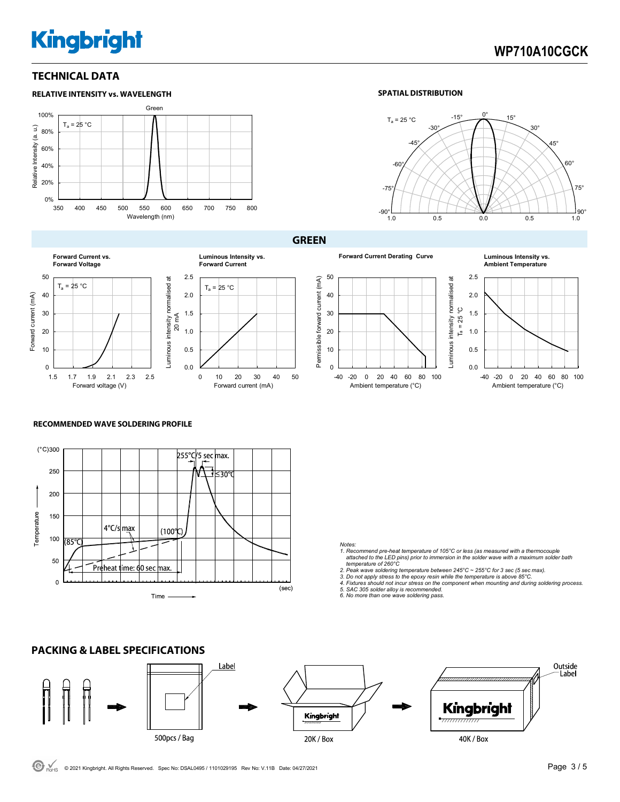# **WP710A10CGCK**

### **TECHNICAL DATA**



#### **SPATIAL DISTRIBUTION**



**Forward Current vs. Forward Voltage** 50 Luminous intensity normalised at Luminous intensity normalised at  $T_a = 25 °C$ Forward current (mA) 40 Forward current (mA) 30 20 10  $\Omega$ 1.5 1.7 1.9 2.1 2.3 2.5 Forward voltage (V)

# **GREEN**









#### **RECOMMENDED WAVE SOLDERING PROFILE**



 $0.0$ 0.5 1.0 1.5 2.0 2.5

 $T_a = 25 °C$ 

**Luminous Intensity vs. Forward Current**

0 10 20 30 40 50

Forward current (mA)

- *Notes: 1. Recommend pre-heat temperature of 105°C or less (as measured with a thermocouple attached to the LED pins) prior to immersion in the solder wave with a maximum solder bath*
- *temperature of 260°C 2. Peak wave soldering temperature between 245°C ~ 255°C for 3 sec (5 sec max).*
- 
- *3. Do not apply stress to the epoxy resin while the temperature is above 85°C. 4. Fixtures should not incur stress on the component when mounting and during soldering process.*
- *5. SAC 305 solder alloy is recommended. 6. No more than one wave soldering pass.*

#### Label Outside Label Kingbright Kingbright  $\overline{mm}$ 500pcs / Bag 40K / Box 20K / Box

# **PACKING & LABEL SPECIFICATIONS**

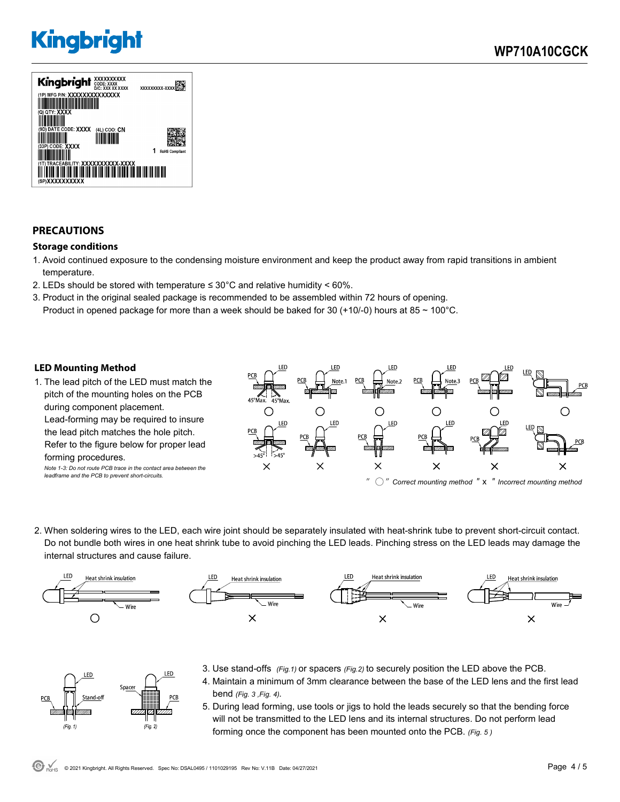

# **PRECAUTIONS**

# **Storage conditions**

- 1. Avoid continued exposure to the condensing moisture environment and keep the product away from rapid transitions in ambient temperature.
- 2. LEDs should be stored with temperature  $\leq 30^{\circ}$ C and relative humidity < 60%.
- 3. Product in the original sealed package is recommended to be assembled within 72 hours of opening. Product in opened package for more than a week should be baked for 30 (+10/-0) hours at 85  $\sim$  100°C.

# **LED Mounting Method**

FD.

 $(Fig. 1)$ 

Space

1. The lead pitch of the LED must match the pitch of the mounting holes on the PCB during component placement. Lead-forming may be required to insure the lead pitch matches the hole pitch. Refer to the figure below for proper lead forming procedures. *Note 1-3: Do not route PCB trace in the contact area between the* 

*leadframe and the PCB to prevent short-circuits.* 



2. When soldering wires to the LED, each wire joint should be separately insulated with heat-shrink tube to prevent short-circuit contact. Do not bundle both wires in one heat shrink tube to avoid pinching the LED leads. Pinching stress on the LED leads may damage the internal structures and cause failure.



- 3. Use stand-offs *(Fig.1)* or spacers *(Fig.2)* to securely position the LED above the PCB.
	- 4. Maintain a minimum of 3mm clearance between the base of the LED lens and the first lead bend *(Fig. 3 ,Fig. 4).*
	- 5. During lead forming, use tools or jigs to hold the leads securely so that the bending force will not be transmitted to the LED lens and its internal structures. Do not perform lead forming once the component has been mounted onto the PCB. *(Fig. 5 )*

.ED

 $(Fig. 2)$